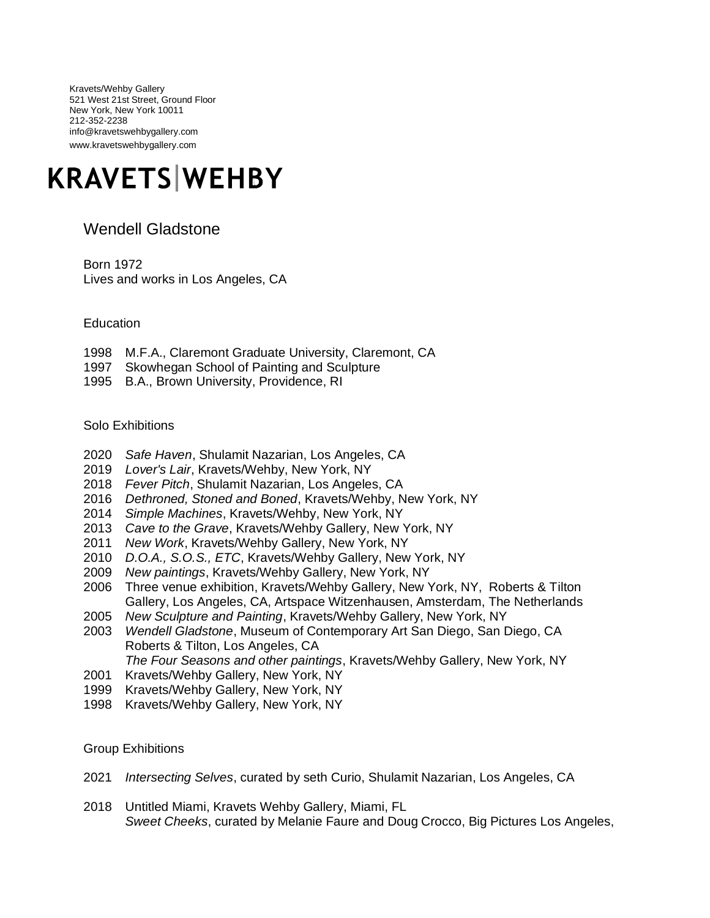Kravets/Wehby Gallery 521 West 21st Street, Ground Floor New York, New York 10011 212-352-2238 info@kravetswehbygallery.com www.kravetswehbygallery.com

## **KRAVETS WEHBY**

## Wendell Gladstone

Born 1972 Lives and works in Los Angeles, CA

**Education** 

- 1998 M.F.A., Claremont Graduate University, Claremont, CA
- 1997 Skowhegan School of Painting and Sculpture
- 1995 B.A., Brown University, Providence, RI

Solo Exhibitions

- 2020 *Safe Haven*, Shulamit Nazarian, Los Angeles, CA
- 2019 *Lover's Lair*, Kravets/Wehby, New York, NY
- 2018 *Fever Pitch*, Shulamit Nazarian, Los Angeles, CA
- 2016 *Dethroned, Stoned and Boned*, Kravets/Wehby, New York, NY
- 2014 *Simple Machines*, Kravets/Wehby, New York, NY
- 2013 *Cave to the Grave*, Kravets/Wehby Gallery, New York, NY
- 2011 *New Work*, Kravets/Wehby Gallery, New York, NY
- 2010 *D.O.A., S.O.S., ETC*, Kravets/Wehby Gallery, New York, NY
- 2009 *New paintings*, Kravets/Wehby Gallery, New York, NY
- 2006 Three venue exhibition, Kravets/Wehby Gallery, New York, NY, Roberts & Tilton Gallery, Los Angeles, CA, Artspace Witzenhausen, Amsterdam, The Netherlands
- 2005 *New Sculpture and Painting*, Kravets/Wehby Gallery, New York, NY
- 2003 *Wendell Gladstone*, Museum of Contemporary Art San Diego, San Diego, CA Roberts & Tilton, Los Angeles, CA
	- *The Four Seasons and other paintings*, Kravets/Wehby Gallery, New York, NY
- 2001 Kravets/Wehby Gallery, New York, NY
- 1999 Kravets/Wehby Gallery, New York, NY
- 1998 Kravets/Wehby Gallery, New York, NY

Group Exhibitions

- 2021 *Intersecting Selves*, curated by seth Curio, Shulamit Nazarian, Los Angeles, CA
- 2018 Untitled Miami, Kravets Wehby Gallery, Miami, FL *Sweet Cheeks*, curated by Melanie Faure and Doug Crocco, Big Pictures Los Angeles,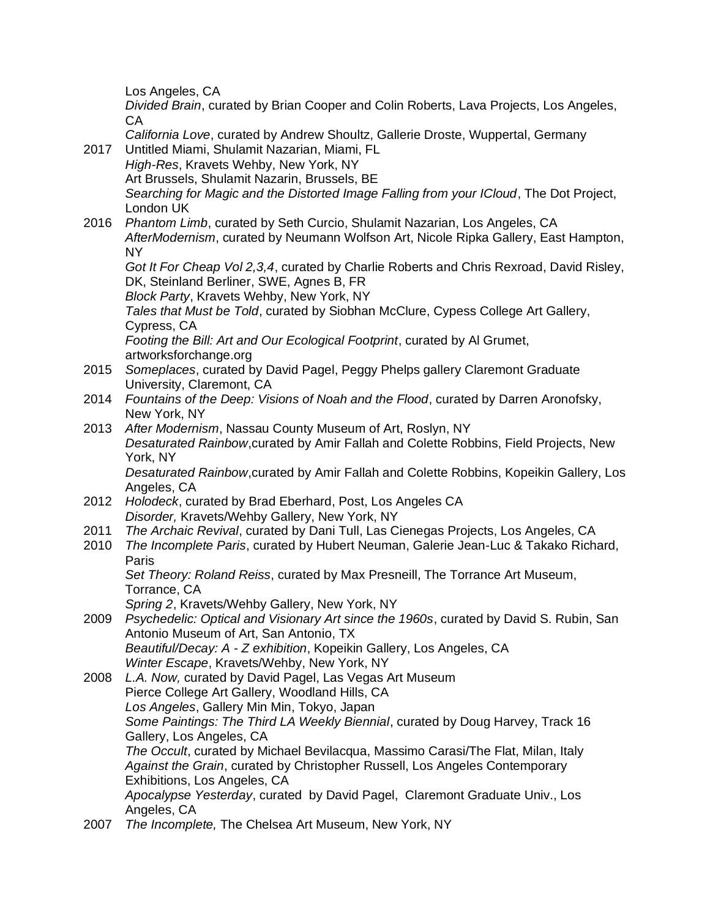Los Angeles, CA

*Divided Brain*, curated by Brian Cooper and Colin Roberts, Lava Projects, Los Angeles, CA

*California Love*, curated by Andrew Shoultz, Gallerie Droste, Wuppertal, Germany 2017 Untitled Miami, Shulamit Nazarian, Miami, FL

- *High-Res*, Kravets Wehby, New York, NY Art Brussels, Shulamit Nazarin, Brussels, BE *Searching for Magic and the Distorted Image Falling from your ICloud*, The Dot Project, London UK
- 2016 *Phantom Limb*, curated by Seth Curcio, Shulamit Nazarian, Los Angeles, CA *AfterModernism*, curated by Neumann Wolfson Art, Nicole Ripka Gallery, East Hampton, NY

*Got It For Cheap Vol 2,3,4*, curated by Charlie Roberts and Chris Rexroad, David Risley, DK, Steinland Berliner, SWE, Agnes B, FR

*Block Party*, Kravets Wehby, New York, NY

*Tales that Must be Told*, curated by Siobhan McClure, Cypess College Art Gallery, Cypress, CA

*Footing the Bill: Art and Our Ecological Footprint*, curated by Al Grumet, artworksforchange.org

- 2015 *Someplaces*, curated by David Pagel, Peggy Phelps gallery Claremont Graduate University, Claremont, CA
- 2014 *Fountains of the Deep: Visions of Noah and the Flood*, curated by Darren Aronofsky, New York, NY
- 2013 *After Modernism*, Nassau County Museum of Art, Roslyn, NY *Desaturated Rainbow*,curated by Amir Fallah and Colette Robbins, Field Projects, New York, NY *Desaturated Rainbow*,curated by Amir Fallah and Colette Robbins, Kopeikin Gallery, Los

Angeles, CA

- 2012 *Holodeck*, curated by Brad Eberhard, Post, Los Angeles CA *Disorder,* Kravets/Wehby Gallery, New York, NY
- 2011 *The Archaic Revival*, curated by Dani Tull, Las Cienegas Projects, Los Angeles, CA
- 2010 *The Incomplete Paris*, curated by Hubert Neuman, Galerie Jean-Luc & Takako Richard, Paris

*Set Theory: Roland Reiss*, curated by Max Presneill, The Torrance Art Museum, Torrance, CA

*Spring 2*, Kravets/Wehby Gallery, New York, NY

2009 *Psychedelic: Optical and Visionary Art since the 1960s*, curated by David S. Rubin, San Antonio Museum of Art, San Antonio, TX *Beautiful/Decay: A - Z exhibition*, Kopeikin Gallery, Los Angeles, CA

*Winter Escape*, Kravets/Wehby, New York, NY

- 2008 *L.A. Now,* curated by David Pagel, Las Vegas Art Museum Pierce College Art Gallery, Woodland Hills, CA *Los Angeles*, Gallery Min Min, Tokyo, Japan *Some Paintings: The Third LA Weekly Biennial*, curated by Doug Harvey, Track 16 Gallery, Los Angeles, CA *The Occult*, curated by Michael Bevilacqua, Massimo Carasi/The Flat, Milan, Italy *Against the Grain*, curated by Christopher Russell, Los Angeles Contemporary Exhibitions, Los Angeles, CA *Apocalypse Yesterday*, curated by David Pagel, Claremont Graduate Univ., Los Angeles, CA
- 2007 *The Incomplete,* The Chelsea Art Museum, New York, NY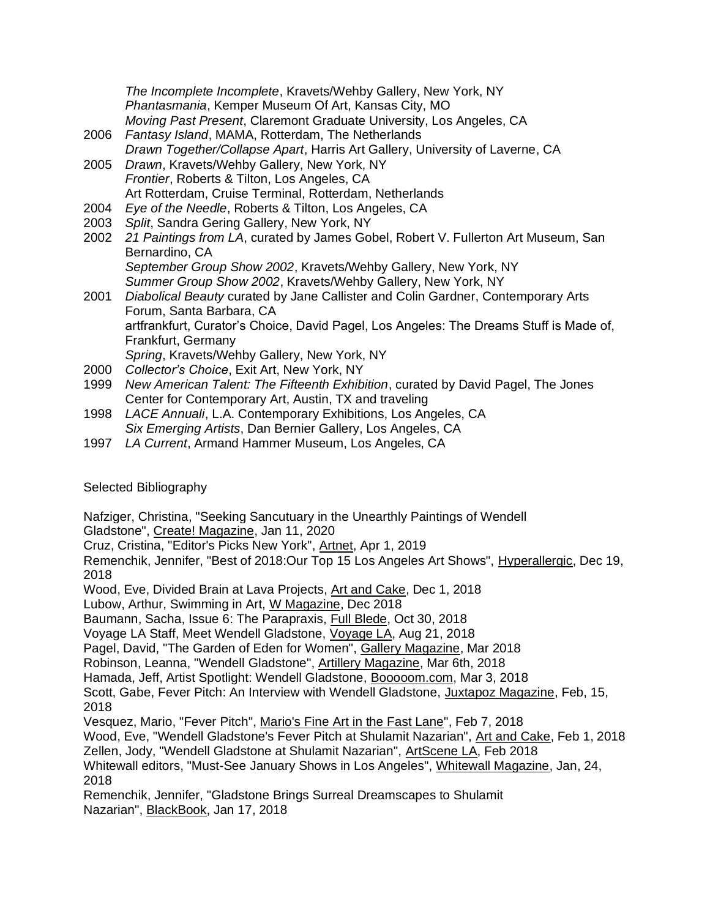*The Incomplete Incomplete*, Kravets/Wehby Gallery, New York, NY *Phantasmania*, Kemper Museum Of Art, Kansas City, MO *Moving Past Present*, Claremont Graduate University, Los Angeles, CA

- 2006 *Fantasy Island*, MAMA, Rotterdam, The Netherlands *Drawn Together/Collapse Apart*, Harris Art Gallery, University of Laverne, CA
- 2005 *Drawn*, Kravets/Wehby Gallery, New York, NY *Frontier*, Roberts & Tilton, Los Angeles, CA Art Rotterdam, Cruise Terminal, Rotterdam, Netherlands
- 2004 *Eye of the Needle*, Roberts & Tilton, Los Angeles, CA
- 2003 *Split*, Sandra Gering Gallery, New York, NY
- 2002 *21 Paintings from LA*, curated by James Gobel, Robert V. Fullerton Art Museum, San Bernardino, CA *September Group Show 2002*, Kravets/Wehby Gallery, New York, NY
- *Summer Group Show 2002*, Kravets/Wehby Gallery, New York, NY 2001 *Diabolical Beauty* curated by Jane Callister and Colin Gardner, Contemporary Arts Forum, Santa Barbara, CA artfrankfurt, Curator's Choice, David Pagel, Los Angeles: The Dreams Stuff is Made of, Frankfurt, Germany *Spring*, Kravets/Wehby Gallery, New York, NY
- 2000 *Collector's Choice*, Exit Art, New York, NY
- 1999 *New American Talent: The Fifteenth Exhibition*, curated by David Pagel, The Jones Center for Contemporary Art, Austin, TX and traveling
- 1998 *LACE Annuali*, L.A. Contemporary Exhibitions, Los Angeles, CA *Six Emerging Artists*, Dan Bernier Gallery, Los Angeles, CA
- 1997 *LA Current*, Armand Hammer Museum, Los Angeles, CA

## Selected Bibliography

Nafziger, Christina, "Seeking Sancutuary in the Unearthly Paintings of Wendell Gladstone", Create! Magazine, Jan 11, 2020

Cruz, Cristina, "Editor's Picks New York", Artnet, Apr 1, 2019

Remenchik, Jennifer, "Best of 2018:Our Top 15 Los Angeles Art Shows", Hyperallergic, Dec 19, 2018

Wood, Eve, Divided Brain at Lava Projects, Art and Cake, Dec 1, 2018 Lubow, Arthur, Swimming in Art, W Magazine, Dec 2018

Baumann, Sacha, Issue 6: The Parapraxis, Full Blede, Oct 30, 2018

Voyage LA Staff, Meet Wendell Gladstone, Voyage LA, Aug 21, 2018

Pagel, David, "The Garden of Eden for Women", Gallery Magazine, Mar 2018

Robinson, Leanna, "Wendell Gladstone", Artillery Magazine, Mar 6th, 2018

Hamada, Jeff, Artist Spotlight: Wendell Gladstone, Booooom.com, Mar 3, 2018

Scott, Gabe, Fever Pitch: An Interview with Wendell Gladstone, Juxtapoz Magazine, Feb, 15, 2018

Vesquez, Mario, "Fever Pitch", Mario's Fine Art in the Fast Lane", Feb 7, 2018

Wood, Eve, "Wendell Gladstone's Fever Pitch at Shulamit Nazarian", Art and Cake, Feb 1, 2018 Zellen, Jody, "Wendell Gladstone at Shulamit Nazarian", ArtScene LA, Feb 2018

Whitewall editors, "Must-See January Shows in Los Angeles", Whitewall Magazine, Jan, 24, 2018

Remenchik, Jennifer, "Gladstone Brings Surreal Dreamscapes to Shulamit Nazarian", BlackBook, Jan 17, 2018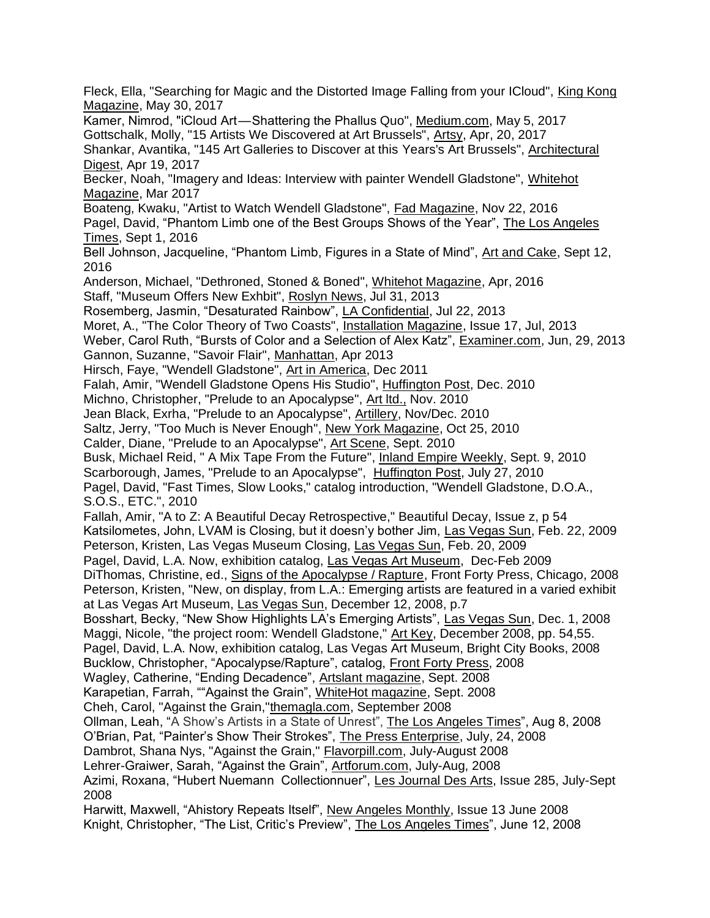Fleck, Ella, "Searching for Magic and the Distorted Image Falling from your ICloud", King Kong Magazine, May 30, 2017 Kamer, Nimrod, "iCloud Art—Shattering the Phallus Quo", Medium.com, May 5, 2017 Gottschalk, Molly, "15 Artists We Discovered at Art Brussels", Artsy, Apr, 20, 2017 Shankar, Avantika, "145 Art Galleries to Discover at this Years's Art Brussels", Architectural Digest, Apr 19, 2017 Becker, Noah, "Imagery and Ideas: Interview with painter Wendell Gladstone", Whitehot Magazine, Mar 2017 Boateng, Kwaku, "Artist to Watch Wendell Gladstone", Fad Magazine, Nov 22, 2016 Pagel, David, "Phantom Limb one of the Best Groups Shows of the Year", The Los Angeles Times, Sept 1, 2016 Bell Johnson, Jacqueline, "Phantom Limb, Figures in a State of Mind", Art and Cake, Sept 12, 2016 Anderson, Michael, "Dethroned, Stoned & Boned", Whitehot Magazine, Apr, 2016 Staff, "Museum Offers New Exhbit", Roslyn News, Jul 31, 2013 Rosemberg, Jasmin, "Desaturated Rainbow", LA Confidential, Jul 22, 2013 Moret, A., "The Color Theory of Two Coasts", Installation Magazine, Issue 17, Jul, 2013 Weber, Carol Ruth, "Bursts of Color and a Selection of Alex Katz", Examiner.com, Jun, 29, 2013 Gannon, Suzanne, "Savoir Flair", Manhattan, Apr 2013 Hirsch, Faye, "Wendell Gladstone", Art in America, Dec 2011 Falah, Amir, "Wendell Gladstone Opens His Studio", Huffington Post, Dec. 2010 Michno, Christopher, "Prelude to an Apocalypse", Art ltd., Nov. 2010 Jean Black, Exrha, "Prelude to an Apocalypse", Artillery, Nov/Dec. 2010 Saltz, Jerry, "Too Much is Never Enough", New York Magazine, Oct 25, 2010 Calder, Diane, "Prelude to an Apocalypse", Art Scene, Sept. 2010 Busk, Michael Reid, " A Mix Tape From the Future", Inland Empire Weekly, Sept. 9, 2010 Scarborough, James, "Prelude to an Apocalypse", Huffington Post, July 27, 2010 Pagel, David, "Fast Times, Slow Looks," catalog introduction, "Wendell Gladstone, D.O.A., S.O.S., ETC.", 2010 Fallah, Amir, "A to Z: A Beautiful Decay Retrospective," Beautiful Decay, Issue z, p 54 Katsilometes, John, LVAM is Closing, but it doesn'y bother Jim, Las Vegas Sun, Feb. 22, 2009 Peterson, Kristen, Las Vegas Museum Closing, Las Vegas Sun, Feb. 20, 2009 Pagel, David, L.A. Now, exhibition catalog, Las Vegas Art Museum, Dec-Feb 2009 DiThomas, Christine, ed., Signs of the Apocalypse / Rapture, Front Forty Press, Chicago, 2008 Peterson, Kristen, "New, on display, from L.A.: Emerging artists are featured in a varied exhibit at Las Vegas Art Museum, Las Vegas Sun, December 12, 2008, p.7 Bosshart, Becky, "New Show Highlights LA's Emerging Artists", Las Vegas Sun, Dec. 1, 2008 Maggi, Nicole, "the project room: Wendell Gladstone," Art Key, December 2008, pp. 54,55. Pagel, David, L.A. Now, exhibition catalog, Las Vegas Art Museum, Bright City Books, 2008 Bucklow, Christopher, "Apocalypse/Rapture", catalog, Front Forty Press, 2008 Wagley, Catherine, "Ending Decadence", Artslant magazine, Sept. 2008 Karapetian, Farrah, ""Against the Grain", WhiteHot magazine, Sept. 2008 Cheh, Carol, "Against the Grain,"themagla.com, September 2008 Ollman, Leah, "A Show's Artists in a State of Unrest", The Los Angeles Times", Aug 8, 2008 O'Brian, Pat, "Painter's Show Their Strokes", The Press Enterprise, July, 24, 2008 Dambrot, Shana Nys, "Against the Grain," Flavorpill.com, July-August 2008 Lehrer-Graiwer, Sarah, "Against the Grain", Artforum.com, July-Aug, 2008 Azimi, Roxana, "Hubert Nuemann Collectionnuer", Les Journal Des Arts, Issue 285, July-Sept 2008 Harwitt, Maxwell, "Ahistory Repeats Itself", New Angeles Monthly, Issue 13 June 2008 Knight, Christopher, "The List, Critic's Preview", The Los Angeles Times", June 12, 2008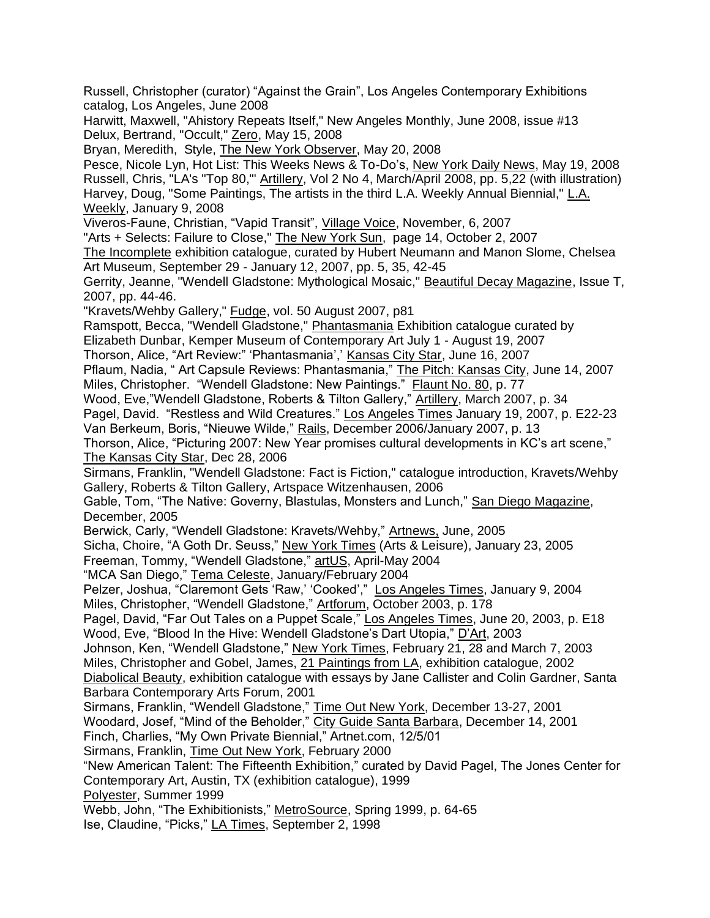Russell, Christopher (curator) "Against the Grain", Los Angeles Contemporary Exhibitions catalog, Los Angeles, June 2008

Harwitt, Maxwell, "Ahistory Repeats Itself," New Angeles Monthly, June 2008, issue #13 Delux, Bertrand, "Occult," Zero, May 15, 2008

Bryan, Meredith, Style, The New York Observer, May 20, 2008

Pesce, Nicole Lyn, Hot List: This Weeks News & To-Do's, New York Daily News, May 19, 2008 Russell, Chris, "LA's "Top 80,"' Artillery, Vol 2 No 4, March/April 2008, pp. 5,22 (with illustration) Harvey, Doug, "Some Paintings, The artists in the third L.A. Weekly Annual Biennial," L.A. Weekly, January 9, 2008

Viveros-Faune, Christian, "Vapid Transit", Village Voice, November, 6, 2007

"Arts + Selects: Failure to Close," The New York Sun, page 14, October 2, 2007

The Incomplete exhibition catalogue, curated by Hubert Neumann and Manon Slome, Chelsea Art Museum, September 29 - January 12, 2007, pp. 5, 35, 42-45

Gerrity, Jeanne, "Wendell Gladstone: Mythological Mosaic," Beautiful Decay Magazine, Issue T, 2007, pp. 44-46.

"Kravets/Wehby Gallery," Fudge, vol. 50 August 2007, p81

Ramspott, Becca, "Wendell Gladstone," Phantasmania Exhibition catalogue curated by

Elizabeth Dunbar, Kemper Museum of Contemporary Art July 1 - August 19, 2007

Thorson, Alice, "Art Review:" 'Phantasmania',' Kansas City Star, June 16, 2007

Pflaum, Nadia, " Art Capsule Reviews: Phantasmania," The Pitch: Kansas City, June 14, 2007 Miles, Christopher. "Wendell Gladstone: New Paintings." Flaunt No. 80, p. 77

Wood, Eve,"Wendell Gladstone, Roberts & Tilton Gallery," Artillery, March 2007, p. 34

Pagel, David. "Restless and Wild Creatures." Los Angeles Times January 19, 2007, p. E22-23 Van Berkeum, Boris, "Nieuwe Wilde," Rails, December 2006/January 2007, p. 13

Thorson, Alice, "Picturing 2007: New Year promises cultural developments in KC's art scene," The Kansas City Star, Dec 28, 2006

Sirmans, Franklin, "Wendell Gladstone: Fact is Fiction," catalogue introduction, Kravets/Wehby Gallery, Roberts & Tilton Gallery, Artspace Witzenhausen, 2006

Gable, Tom, "The Native: Governy, Blastulas, Monsters and Lunch," San Diego Magazine, December, 2005

Berwick, Carly, "Wendell Gladstone: Kravets/Wehby," Artnews, June, 2005

Sicha, Choire, "A Goth Dr. Seuss," New York Times (Arts & Leisure), January 23, 2005 Freeman, Tommy, "Wendell Gladstone," artUS, April-May 2004

"MCA San Diego," Tema Celeste, January/February 2004

Pelzer, Joshua, "Claremont Gets 'Raw,' 'Cooked'," Los Angeles Times, January 9, 2004 Miles, Christopher, "Wendell Gladstone," Artforum, October 2003, p. 178

Pagel, David, "Far Out Tales on a Puppet Scale," Los Angeles Times, June 20, 2003, p. E18 Wood, Eve, "Blood In the Hive: Wendell Gladstone's Dart Utopia," D'Art, 2003

Johnson, Ken, "Wendell Gladstone," New York Times, February 21, 28 and March 7, 2003 Miles, Christopher and Gobel, James, 21 Paintings from LA, exhibition catalogue, 2002

Diabolical Beauty, exhibition catalogue with essays by Jane Callister and Colin Gardner, Santa Barbara Contemporary Arts Forum, 2001

Sirmans, Franklin, "Wendell Gladstone," Time Out New York, December 13-27, 2001

Woodard, Josef, "Mind of the Beholder," City Guide Santa Barbara, December 14, 2001

Finch, Charlies, "My Own Private Biennial," Artnet.com, 12/5/01

Sirmans, Franklin, Time Out New York, February 2000

"New American Talent: The Fifteenth Exhibition," curated by David Pagel, The Jones Center for Contemporary Art, Austin, TX (exhibition catalogue), 1999

Polyester, Summer 1999

Webb, John, "The Exhibitionists," MetroSource, Spring 1999, p. 64-65

Ise, Claudine, "Picks," LA Times, September 2, 1998